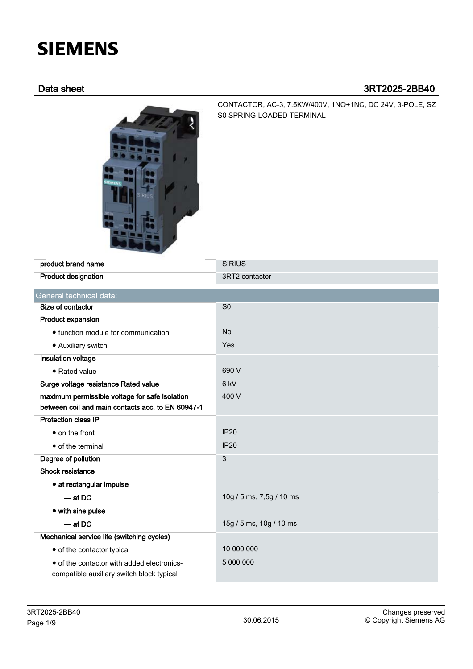# **SIEMENS**

## Data sheet 3RT2025-2BB40



CONTACTOR, AC-3, 7.5KW/400V, 1NO+1NC, DC 24V, 3-POLE, SZ S0 SPRING-LOADED TERMINAL

| product brand name                                                                      | <b>SIRIUS</b>            |
|-----------------------------------------------------------------------------------------|--------------------------|
| <b>Product designation</b>                                                              | 3RT2 contactor           |
| General technical data:                                                                 |                          |
| Size of contactor                                                                       | S <sub>0</sub>           |
| Product expansion                                                                       |                          |
| • function module for communication                                                     | <b>No</b>                |
| • Auxiliary switch                                                                      | Yes                      |
| Insulation voltage                                                                      |                          |
| • Rated value                                                                           | 690 V                    |
| Surge voltage resistance Rated value                                                    | $6$ kV                   |
| maximum permissible voltage for safe isolation                                          | 400 V                    |
| between coil and main contacts acc. to EN 60947-1                                       |                          |
| <b>Protection class IP</b>                                                              |                          |
| • on the front                                                                          | <b>IP20</b>              |
| • of the terminal                                                                       | <b>IP20</b>              |
| Degree of pollution                                                                     | 3                        |
| <b>Shock resistance</b>                                                                 |                          |
| • at rectangular impulse                                                                |                          |
| $-$ at DC                                                                               | 10g / 5 ms, 7,5g / 10 ms |
| • with sine pulse                                                                       |                          |
| $-$ at DC                                                                               | 15g / 5 ms, 10g / 10 ms  |
| Mechanical service life (switching cycles)                                              |                          |
| • of the contactor typical                                                              | 10 000 000               |
| • of the contactor with added electronics-<br>compatible auxiliary switch block typical | 5 000 000                |
|                                                                                         |                          |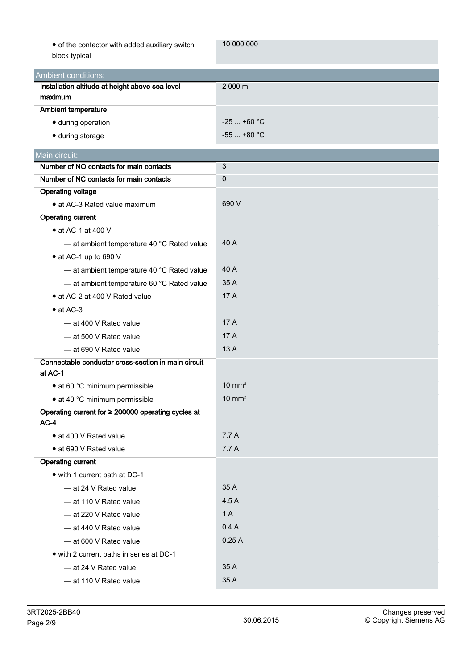| • of the contactor with added auxiliary switch |  |
|------------------------------------------------|--|
| block typical                                  |  |

10 000 000

| ›ck typical |  |
|-------------|--|
|             |  |

| bioon typical                                                |                   |
|--------------------------------------------------------------|-------------------|
| <b>Ambient conditions:</b>                                   |                   |
| Installation altitude at height above sea level              | 2 000 m           |
| maximum                                                      |                   |
| Ambient temperature                                          |                   |
| · during operation                                           | $-25$ +60 °C      |
| · during storage                                             | $-55$ +80 °C      |
| Main circuit:                                                |                   |
| Number of NO contacts for main contacts                      | $\mathbf{3}$      |
| Number of NC contacts for main contacts                      | $\pmb{0}$         |
| <b>Operating voltage</b>                                     |                   |
| • at AC-3 Rated value maximum                                | 690 V             |
| Operating current                                            |                   |
| $\bullet$ at AC-1 at 400 V                                   |                   |
| - at ambient temperature 40 °C Rated value                   | 40 A              |
| • at AC-1 up to 690 V                                        |                   |
| - at ambient temperature 40 °C Rated value                   | 40 A              |
| - at ambient temperature 60 °C Rated value                   | 35 A              |
| • at AC-2 at 400 V Rated value                               | 17 A              |
| $\bullet$ at AC-3                                            |                   |
| $-$ at 400 V Rated value                                     | 17A               |
| - at 500 V Rated value                                       | 17A               |
| - at 690 V Rated value                                       | 13 A              |
| Connectable conductor cross-section in main circuit          |                   |
| at AC-1                                                      |                   |
| • at 60 °C minimum permissible                               | $10 \text{ mm}^2$ |
| • at 40 °C minimum permissible                               | $10 \text{ mm}^2$ |
| Operating current for ≥ 200000 operating cycles at<br>$AC-4$ |                   |
| • at 400 V Rated value                                       | 7.7 A             |
| • at 690 V Rated value                                       | 7.7 A             |
| <b>Operating current</b>                                     |                   |
| • with 1 current path at DC-1                                |                   |
| - at 24 V Rated value                                        | 35 A              |
| - at 110 V Rated value                                       | 4.5 A             |
| - at 220 V Rated value                                       | 1 A               |
| - at 440 V Rated value                                       | 0.4A              |
| - at 600 V Rated value                                       | 0.25A             |
| • with 2 current paths in series at DC-1                     |                   |
| - at 24 V Rated value                                        | 35 A              |
| - at 110 V Rated value                                       | 35 A              |
|                                                              |                   |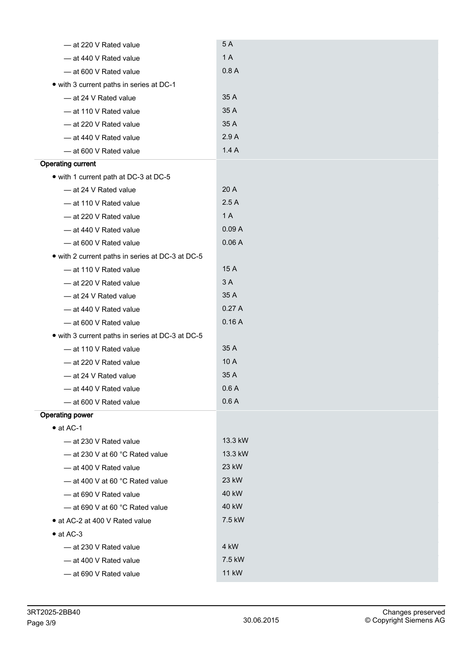| - at 220 V Rated value                           | 5A           |
|--------------------------------------------------|--------------|
| - at 440 V Rated value                           | 1 A          |
| - at 600 V Rated value                           | 0.8A         |
| • with 3 current paths in series at DC-1         |              |
| - at 24 V Rated value                            | 35 A         |
| - at 110 V Rated value                           | 35 A         |
| - at 220 V Rated value                           | 35 A         |
| - at 440 V Rated value                           | 2.9A         |
| - at 600 V Rated value                           | 1.4A         |
| <b>Operating current</b>                         |              |
| • with 1 current path at DC-3 at DC-5            |              |
| - at 24 V Rated value                            | 20 A         |
| - at 110 V Rated value                           | 2.5A         |
| - at 220 V Rated value                           | 1A           |
| - at 440 V Rated value                           | 0.09A        |
| - at 600 V Rated value                           | 0.06A        |
| • with 2 current paths in series at DC-3 at DC-5 |              |
| - at 110 V Rated value                           | 15 A         |
| - at 220 V Rated value                           | 3 A          |
| - at 24 V Rated value                            | 35 A         |
| - at 440 V Rated value                           | 0.27A        |
| - at 600 V Rated value                           | 0.16A        |
| • with 3 current paths in series at DC-3 at DC-5 |              |
| - at 110 V Rated value                           | 35 A         |
| - at 220 V Rated value                           | 10 A         |
| - at 24 V Rated value                            | 35 A         |
| - at 440 V Rated value                           | 0.6A         |
| - at 600 V Rated value                           | 0.6A         |
| <b>Operating power</b>                           |              |
| $\bullet$ at AC-1                                |              |
| $-$ at 230 V Rated value                         | 13.3 kW      |
| $-$ at 230 V at 60 °C Rated value                | 13.3 kW      |
| - at 400 V Rated value                           | 23 kW        |
| - at 400 V at 60 °C Rated value                  | 23 kW        |
| $-$ at 690 V Rated value                         | 40 kW        |
| $-$ at 690 V at 60 °C Rated value                | 40 kW        |
| • at AC-2 at 400 V Rated value                   | 7.5 kW       |
| $\bullet$ at AC-3                                |              |
| - at 230 V Rated value                           | 4 kW         |
| - at 400 V Rated value                           | 7.5 kW       |
| - at 690 V Rated value                           | <b>11 kW</b> |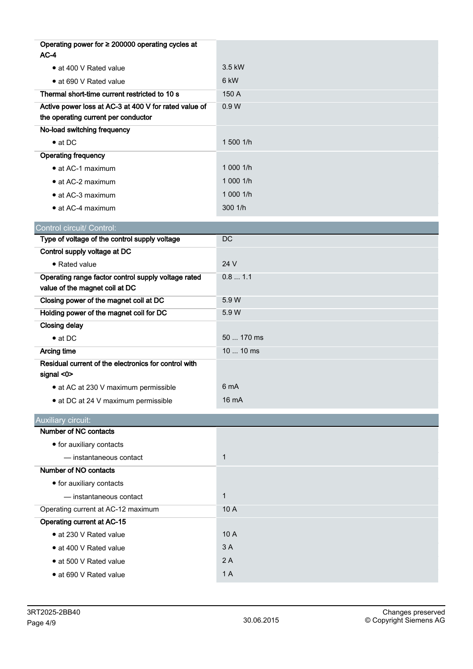| Operating power for ≥ 200000 operating cycles at<br>$AC-4$               |              |
|--------------------------------------------------------------------------|--------------|
| • at 400 V Rated value                                                   | 3.5 kW       |
| • at 690 V Rated value                                                   | 6 kW         |
| Thermal short-time current restricted to 10 s                            | 150 A        |
| Active power loss at AC-3 at 400 V for rated value of                    | 0.9W         |
| the operating current per conductor                                      |              |
| No-load switching frequency                                              |              |
| $\bullet$ at DC                                                          | 1 500 1/h    |
| <b>Operating frequency</b>                                               |              |
| • at AC-1 maximum                                                        | 1 000 1/h    |
| • at AC-2 maximum                                                        | 1 000 1/h    |
| • at AC-3 maximum                                                        | 1 000 1/h    |
| • at AC-4 maximum                                                        | 3001/h       |
| Control circuit/ Control:                                                |              |
| Type of voltage of the control supply voltage                            | DC           |
| Control supply voltage at DC                                             |              |
| • Rated value                                                            | 24 V         |
| Operating range factor control supply voltage rated                      | 0.8 1.1      |
| value of the magnet coil at DC                                           |              |
| Closing power of the magnet coil at DC                                   | 5.9 W        |
| Holding power of the magnet coil for DC                                  | 5.9 W        |
| <b>Closing delay</b>                                                     |              |
| $\bullet$ at DC                                                          | 50  170 ms   |
| Arcing time                                                              | 10  10 ms    |
| Residual current of the electronics for control with<br>signal $<$ 0 $>$ |              |
| • at AC at 230 V maximum permissible                                     | 6 mA         |
| • at DC at 24 V maximum permissible                                      | 16 mA        |
| <b>Auxiliary circuit:</b>                                                |              |
| <b>Number of NC contacts</b>                                             |              |
| • for auxiliary contacts                                                 |              |
| - instantaneous contact                                                  | $\mathbf{1}$ |
| Number of NO contacts                                                    |              |
| • for auxiliary contacts                                                 |              |
| - instantaneous contact                                                  | $\mathbf{1}$ |
| Operating current at AC-12 maximum                                       | 10 A         |
| Operating current at AC-15                                               |              |
| • at 230 V Rated value                                                   | 10 A         |
| • at 400 V Rated value                                                   | 3A           |
| • at 500 V Rated value                                                   | 2A           |
| · at 690 V Rated value                                                   | 1 A          |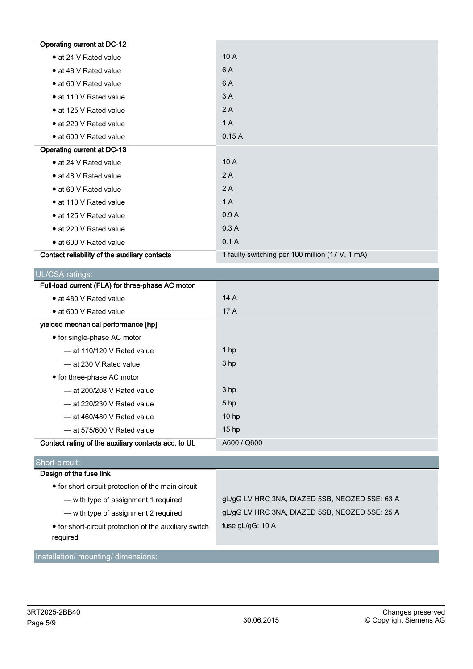| <b>Operating current at DC-12</b>             |                                                 |
|-----------------------------------------------|-------------------------------------------------|
| • at 24 V Rated value                         | 10 A                                            |
| • at 48 V Rated value                         | 6 A                                             |
| • at 60 V Rated value                         | 6 A                                             |
| • at 110 V Rated value                        | 3 A                                             |
| • at 125 V Rated value                        | 2A                                              |
| • at 220 V Rated value                        | 1 A                                             |
| • at 600 V Rated value                        | 0.15A                                           |
| Operating current at DC-13                    |                                                 |
| • at 24 V Rated value                         | 10 A                                            |
| • at 48 V Rated value                         | 2 A                                             |
| • at 60 V Rated value                         | 2A                                              |
| • at 110 V Rated value                        | 1 A                                             |
| • at 125 V Rated value                        | 0.9A                                            |
| • at 220 V Rated value                        | 0.3A                                            |
| • at 600 V Rated value                        | 0.1A                                            |
| Contact reliability of the auxiliary contacts | 1 faulty switching per 100 million (17 V, 1 mA) |

| UL/CSA ratings:                                     |                  |
|-----------------------------------------------------|------------------|
| Full-load current (FLA) for three-phase AC motor    |                  |
| • at 480 V Rated value                              | 14A              |
| • at 600 V Rated value                              | 17 A             |
| yielded mechanical performance [hp]                 |                  |
| • for single-phase AC motor                         |                  |
| $-$ at 110/120 V Rated value                        | 1 <sub>hp</sub>  |
| - at 230 V Rated value                              | 3 <sub>hp</sub>  |
| • for three-phase AC motor                          |                  |
| $-$ at 200/208 V Rated value                        | 3 <sub>hp</sub>  |
| $-$ at 220/230 V Rated value                        | 5 <sub>hp</sub>  |
| $-$ at 460/480 V Rated value                        | 10 <sub>hp</sub> |
| $-$ at 575/600 V Rated value                        | 15 <sub>hp</sub> |
| Contact rating of the auxiliary contacts acc. to UL | A600 / Q600      |
|                                                     |                  |

# Short-circuit:

## Design of the fuse link

- for short-circuit protection of the main circuit
	-
	-

— with type of assignment 1 required gL/gG LV HRC 3NA, DIAZED 5SB, NEOZED 5SE: 63 A — with type of assignment 2 required gL/gG LV HRC 3NA, DIAZED 5SB, NEOZED 5SE: 25 A fuse gL/gG: 10 A

● for short-circuit protection of the auxiliary switch required

Installation/ mounting/ dimensions: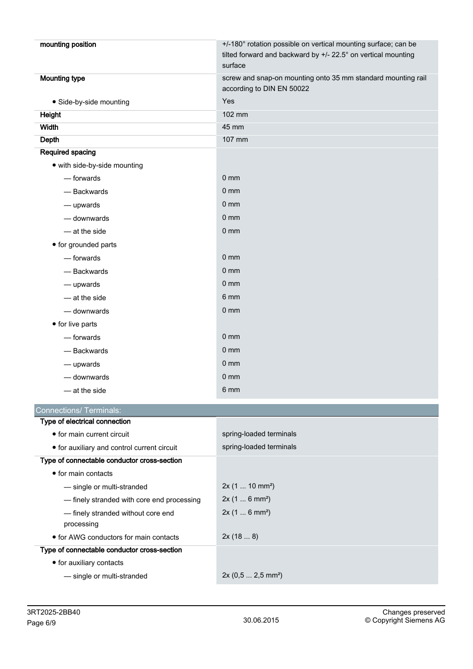| mounting position                                | +/-180° rotation possible on vertical mounting surface; can be<br>tilted forward and backward by +/- 22.5° on vertical mounting<br>surface |
|--------------------------------------------------|--------------------------------------------------------------------------------------------------------------------------------------------|
| <b>Mounting type</b>                             | screw and snap-on mounting onto 35 mm standard mounting rail<br>according to DIN EN 50022                                                  |
| · Side-by-side mounting                          | Yes                                                                                                                                        |
| Height                                           | 102 mm                                                                                                                                     |
| Width                                            | 45 mm                                                                                                                                      |
| Depth                                            | 107 mm                                                                                                                                     |
| Required spacing                                 |                                                                                                                                            |
| • with side-by-side mounting                     |                                                                                                                                            |
| — forwards                                       | 0 <sub>mm</sub>                                                                                                                            |
| - Backwards                                      | $0 \text{ mm}$                                                                                                                             |
| - upwards                                        | 0 <sub>mm</sub>                                                                                                                            |
| - downwards                                      | 0 <sub>mm</sub>                                                                                                                            |
| - at the side                                    | 0 <sub>mm</sub>                                                                                                                            |
| • for grounded parts                             |                                                                                                                                            |
| — forwards                                       | 0 <sub>mm</sub>                                                                                                                            |
| - Backwards                                      | 0 <sub>mm</sub>                                                                                                                            |
| — upwards                                        | 0 <sub>mm</sub>                                                                                                                            |
| - at the side                                    | 6 mm                                                                                                                                       |
| - downwards                                      | 0 <sub>mm</sub>                                                                                                                            |
| • for live parts                                 |                                                                                                                                            |
| — forwards                                       | 0 <sub>mm</sub>                                                                                                                            |
| - Backwards                                      | 0 <sub>mm</sub>                                                                                                                            |
| - upwards                                        | 0 <sub>mm</sub>                                                                                                                            |
| - downwards                                      | 0 <sub>mm</sub>                                                                                                                            |
| $-$ at the side                                  | 6 mm                                                                                                                                       |
| <b>Connections/ Terminals:</b>                   |                                                                                                                                            |
| Type of electrical connection                    |                                                                                                                                            |
| • for main current circuit                       | spring-loaded terminals                                                                                                                    |
| • for auxiliary and control current circuit      | spring-loaded terminals                                                                                                                    |
| Type of connectable conductor cross-section      |                                                                                                                                            |
| • for main contacts                              |                                                                                                                                            |
| - single or multi-stranded                       | $2x(110 \text{ mm}^2)$                                                                                                                     |
| - finely stranded with core end processing       | 2x (1  6 mm <sup>2</sup> )                                                                                                                 |
| - finely stranded without core end<br>processing | 2x(16 mm <sup>2</sup> )                                                                                                                    |
| • for AWG conductors for main contacts           | 2x(188)                                                                                                                                    |
| Type of connectable conductor cross-section      |                                                                                                                                            |

- for auxiliary contacts
	- single or multi-stranded 2x (0,5 ... 2,5 mm²)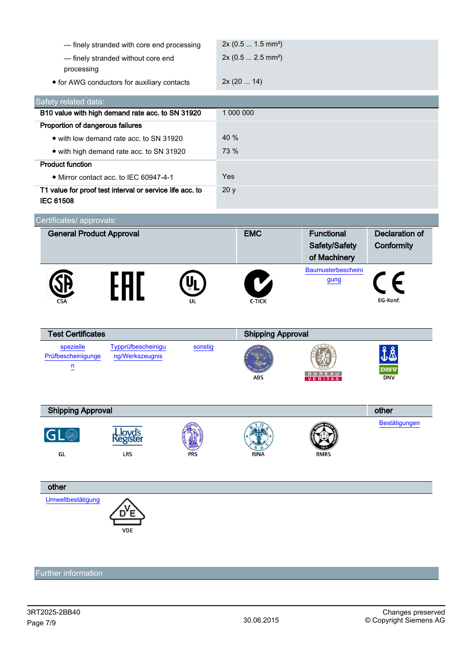| - finely stranded with core end processing                                          | 2x (0.5  1.5 mm <sup>2</sup> ) |                    |                       |
|-------------------------------------------------------------------------------------|--------------------------------|--------------------|-----------------------|
| - finely stranded without core end                                                  | 2x (0.5  2.5 mm <sup>2</sup> ) |                    |                       |
| processing                                                                          |                                |                    |                       |
| • for AWG conductors for auxiliary contacts                                         | 2x(2014)                       |                    |                       |
|                                                                                     |                                |                    |                       |
| Safety related data:                                                                |                                |                    |                       |
| B10 value with high demand rate acc. to SN 31920                                    | 1 000 000                      |                    |                       |
| Proportion of dangerous failures                                                    |                                |                    |                       |
| • with low demand rate acc. to SN 31920                                             | 40 %                           |                    |                       |
| • with high demand rate acc. to SN 31920                                            | 73 %                           |                    |                       |
| <b>Product function</b>                                                             |                                |                    |                       |
| • Mirror contact acc. to IEC 60947-4-1                                              | Yes                            |                    |                       |
| T1 value for proof test interval or service life acc. to<br><b>IEC 61508</b>        | 20 y                           |                    |                       |
| Certificates/ approvals:                                                            |                                |                    |                       |
| <b>General Product Approval</b>                                                     | <b>EMC</b>                     | <b>Functional</b>  | <b>Declaration of</b> |
|                                                                                     |                                | Safety/Safety      | Conformity            |
|                                                                                     |                                | of Machinery       |                       |
|                                                                                     |                                | Baumusterbescheini |                       |
|                                                                                     |                                |                    |                       |
|                                                                                     |                                | gung               |                       |
| FHL                                                                                 | V                              |                    |                       |
|                                                                                     | C-TICK                         |                    | EG-Konf.              |
|                                                                                     |                                |                    |                       |
|                                                                                     |                                |                    |                       |
| <b>Test Certificates</b>                                                            | <b>Shipping Approval</b>       |                    |                       |
| Typprüfbescheinigu<br>spezielle<br>sonstig<br>Prüfbescheinigunge<br>ng/Werkszeugnis |                                |                    |                       |
| $\overline{u}$                                                                      |                                |                    |                       |
|                                                                                     | ABS                            |                    | <b>DNV</b>            |
|                                                                                     |                                |                    |                       |
|                                                                                     |                                |                    |                       |
| <b>Shipping Approval</b>                                                            |                                |                    | other                 |
| ovd's                                                                               |                                |                    | Bestätigungen         |
| egister                                                                             |                                |                    |                       |
| LRS<br>GL                                                                           | RINA                           | <b>RMRS</b>        |                       |
|                                                                                     |                                |                    |                       |
|                                                                                     |                                |                    |                       |
| other                                                                               |                                |                    |                       |
| Umweltbestätigung                                                                   |                                |                    |                       |
|                                                                                     |                                |                    |                       |
| <b>VDE</b>                                                                          |                                |                    |                       |
|                                                                                     |                                |                    |                       |
|                                                                                     |                                |                    |                       |

Further information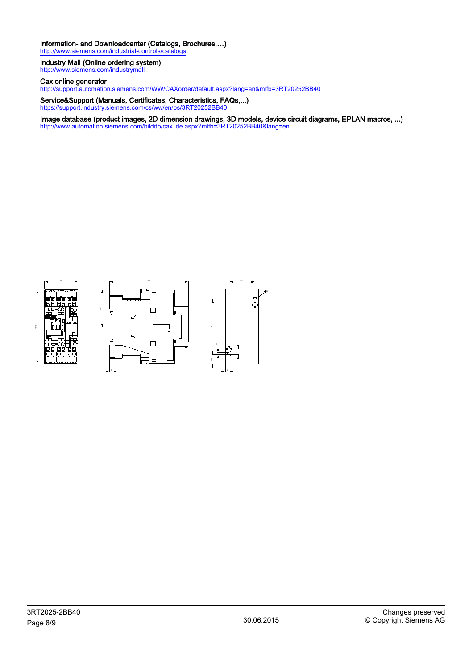#### Information- and Downloadcenter (Catalogs, Brochures,…)

<http://www.siemens.com/industrial-controls/catalogs>

#### Industry Mall (Online ordering system) <http://www.siemens.com/industrymall>

Cax online generator

<http://support.automation.siemens.com/WW/CAXorder/default.aspx?lang=en&mlfb=3RT20252BB40>

Service&Support (Manuals, Certificates, Characteristics, FAQs,...) <https://support.industry.siemens.com/cs/ww/en/ps/3RT20252BB40>

Image database (product images, 2D dimension drawings, 3D models, device circuit diagrams, EPLAN macros, ...) [http://www.automation.siemens.com/bilddb/cax\\_de.aspx?mlfb=3RT20252BB40&lang=en](http://www.automation.siemens.com/bilddb/cax_de.aspx?mlfb=3RT20252BB40&lang=en)